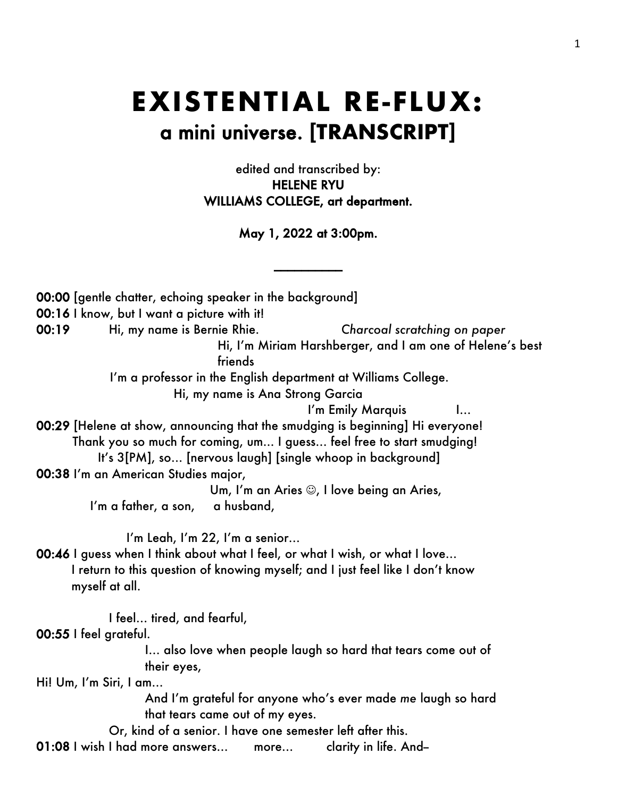## **EXISTENTIAL RE-FLUX:** a mini universe. **[TRANSCRIPT]**

edited and transcribed by: HELENE RYU WILLIAMS COLLEGE, art department.

May 1, 2022 at 3:00pm.

\_\_\_\_\_\_\_\_\_\_

00:00 [gentle chatter, echoing speaker in the background] 00:16 I know, but I want a picture with it! 00:19 Hi, my name is Bernie Rhie. *Charcoal scratching on paper* Hi, I'm Miriam Harshberger, and I am one of Helene's best friends I'm a professor in the English department at Williams College. Hi, my name is Ana Strong Garcia I'm Emily Marquis I... 00:29 [Helene at show, announcing that the smudging is beginning] Hi everyone! Thank you so much for coming, um... I guess… feel free to start smudging! It's 3[PM], so… [nervous laugh] [single whoop in background] 00:38 I'm an American Studies major, Um, I'm an Aries  $\odot$ , I love being an Aries, I'm a father, a son, a husband, I'm Leah, I'm 22, I'm a senior… 00:46 I guess when I think about what I feel, or what I wish, or what I love... I return to this question of knowing myself; and I just feel like I don't know myself at all. I feel… tired, and fearful, 00:55 I feel grateful. I… also love when people laugh so hard that tears come out of their eyes, Hi! Um, I'm Siri, I am… And I'm grateful for anyone who's ever made *me* laugh so hard that tears came out of my eyes. Or, kind of a senior. I have one semester left after this. 01:08 I wish I had more answers... more... clarity in life. And-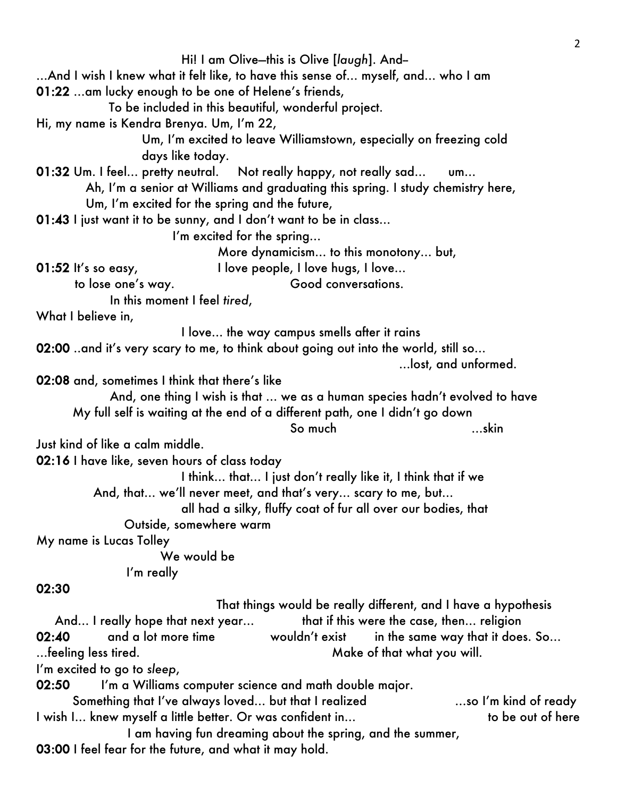Hi! I am Olive—this is Olive [*laugh*]. And-- …And I wish I knew what it felt like, to have this sense of… myself, and… who I am 01:22 …am lucky enough to be one of Helene's friends, To be included in this beautiful, wonderful project. Hi, my name is Kendra Brenya. Um, I'm 22, Um, I'm excited to leave Williamstown, especially on freezing cold days like today. 01:32 Um. I feel... pretty neutral. Not really happy, not really sad... um... Ah, I'm a senior at Williams and graduating this spring. I study chemistry here, Um, I'm excited for the spring and the future, 01:43 I just want it to be sunny, and I don't want to be in class… I'm excited for the spring… More dynamicism… to this monotony… but, 01:52 It's so easy, I love people, I love hugs, I love... to lose one's way. Good conversations. In this moment I feel *tired*, What I believe in, I love… the way campus smells after it rains 02:00 ..and it's very scary to me, to think about going out into the world, still so… …lost, and unformed. 02:08 and, sometimes I think that there's like And, one thing I wish is that … we as a human species hadn't evolved to have My full self is waiting at the end of a different path, one I didn't go down So much <u>with the set of the set</u> Just kind of like a calm middle. 02:16 I have like, seven hours of class today I think… that… I just don't really like it, I think that if we And, that… we'll never meet, and that's very… scary to me, but… all had a silky, fluffy coat of fur all over our bodies, that Outside, somewhere warm My name is Lucas Tolley We would be I'm really 02:30 That things would be really different, and I have a hypothesis And... I really hope that next year... That if this were the case, then... religion 02:40 and a lot more time wouldn't exist in the same way that it does. So... …feeling less tired. Make of that what you will. I'm excited to go to *sleep*, 02:50 I'm a Williams computer science and math double major. Something that I've always loved… but that I realized …so I'm kind of ready I wish I… knew myself a little better. Or was confident in… to be out of here I am having fun dreaming about the spring, and the summer, 03:00 I feel fear for the future, and what it may hold.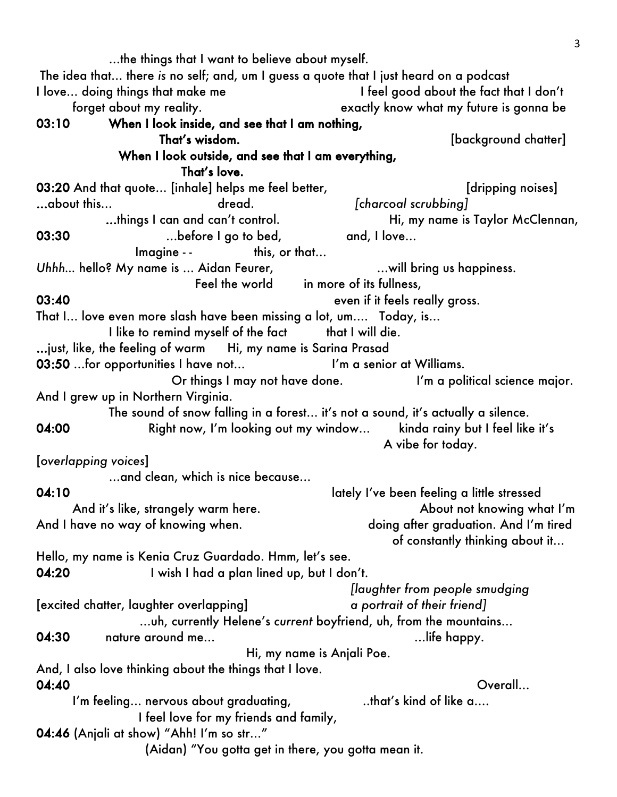…the things that I want to believe about myself. The idea that… there *is* no self; and, um I guess a quote that I just heard on a podcast I love... doing things that make me I feel good about the fact that I don't forget about my reality. The sectly know what my future is gonna be 03:10 When I look inside, and see that I am nothing, That's wisdom. That's wisdom. When I look outside, and see that I am everything, That's love. 03:20 And that quote... [inhale] helps me feel better, [dripping noises] …about this… dread. *[charcoal scrubbing]* ...things I can and can't control. Hi, my name is Taylor McClennan, 03:30 ...before I go to bed, and, I love... Imagine - - this, or that… Uhhh... hello? My name is ... Aidan Feurer, **Easing the Strate of My name is ...** Aidan Feurer, **My and Allen and Allen** Feel the world in more of its fullness, 03:40 **even if it feels really gross.** That I… love even more slash have been missing a lot, um…. Today, is… I like to remind myself of the fact that I will die. …just, like, the feeling of warm Hi, my name is Sarina Prasad 03:50 ... for opportunities I have not... I'm a senior at Williams. Or things I may not have done. I'm a political science major. And I grew up in Northern Virginia. The sound of snow falling in a forest… it's not a sound, it's actually a silence. 04:00 Right now, I'm looking out my window... kinda rainy but I feel like it's A vibe for today. [*overlapping voices*] …and clean, which is nice because… 04:10 **DA:10** lately I've been feeling a little stressed And it's like, strangely warm here. About not knowing what I'm And I have no way of knowing when. The same of the doing after graduation. And I'm tired of constantly thinking about it… Hello, my name is Kenia Cruz Guardado. Hmm, let's see. 04:20 I wish I had a plan lined up, but I don't. *[laughter from people smudging* [excited chatter, laughter overlapping] *a portrait of their friend]* …uh, currently Helene's *current* boyfriend, uh, from the mountains… 04:30 nature around me... 2008 and the set of the set of the set of the set of the set of the set of the set o Hi, my name is Anjali Poe. And, I also love thinking about the things that I love. 04:40 Overall… I'm feeling... nervous about graduating,  $\qquad \qquad$  ..that's kind of like a.... I feel love for my friends and family, 04:46 (Anjali at show) "Ahh! I'm so str…" (Aidan) "You gotta get in there, you gotta mean it.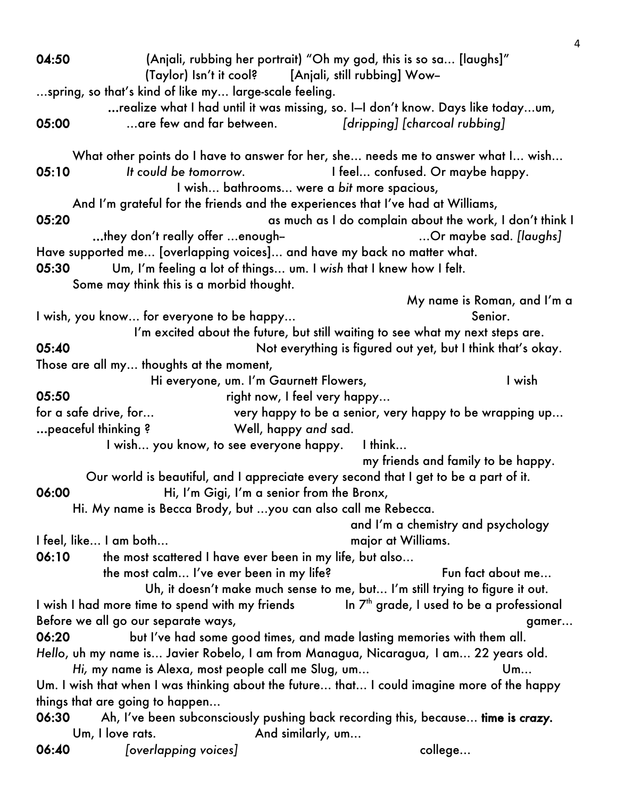|                                                                         | $\overline{4}$                                                                                                                     |
|-------------------------------------------------------------------------|------------------------------------------------------------------------------------------------------------------------------------|
| 04:50                                                                   | (Anjali, rubbing her portrait) "Oh my god, this is so sa [laughs]"<br>(Taylor) Isn't it cool? [Anjali, still rubbing] Wow-         |
| spring, so that's kind of like my large-scale feeling.                  |                                                                                                                                    |
|                                                                         | realize what I had until it was missing, so. I-I don't know. Days like todayum,                                                    |
| 05:00<br>$\dots$ are few and far between.                               | [dripping] [charcoal rubbing]                                                                                                      |
|                                                                         | What other points do I have to answer for her, she needs me to answer what I wish                                                  |
| It could be tomorrow.<br>05:10                                          | I feel confused. Or maybe happy.                                                                                                   |
|                                                                         | I wish bathrooms were a bit more spacious,                                                                                         |
|                                                                         | And I'm grateful for the friends and the experiences that I've had at Williams,                                                    |
| 05:20                                                                   | as much as I do complain about the work, I don't think I                                                                           |
| they don't really offer enough-                                         | Or maybe sad. [laughs]                                                                                                             |
| Have supported me [overlapping voices] and have my back no matter what. |                                                                                                                                    |
| 05:30                                                                   | Um, I'm feeling a lot of things um. I wish that I knew how I felt.                                                                 |
| Some may think this is a morbid thought.                                |                                                                                                                                    |
|                                                                         | My name is Roman, and I'm a                                                                                                        |
| I wish, you know for everyone to be happy                               | Senior.                                                                                                                            |
|                                                                         | I'm excited about the future, but still waiting to see what my next steps are.                                                     |
| 05:40                                                                   | Not everything is figured out yet, but I think that's okay.                                                                        |
| Those are all my thoughts at the moment,                                |                                                                                                                                    |
| Hi everyone, um. I'm Gaurnett Flowers,                                  | I wish                                                                                                                             |
| 05:50                                                                   | right now, I feel very happy                                                                                                       |
| for a safe drive, for                                                   | very happy to be a senior, very happy to be wrapping up                                                                            |
| peaceful thinking?                                                      | Well, happy and sad.                                                                                                               |
| I wish you know, to see everyone happy. I think                         |                                                                                                                                    |
|                                                                         | my friends and family to be happy.                                                                                                 |
| 06:00                                                                   | Our world is beautiful, and I appreciate every second that I get to be a part of it.<br>Hi, I'm Gigi, I'm a senior from the Bronx, |
| Hi. My name is Becca Brody, but you can also call me Rebecca.           |                                                                                                                                    |
|                                                                         | and I'm a chemistry and psychology                                                                                                 |
| I feel, like I am both                                                  | major at Williams.                                                                                                                 |
| 06:10<br>the most scattered I have ever been in my life, but also       |                                                                                                                                    |
| the most calm I've ever been in my life?                                | Fun fact about me                                                                                                                  |
|                                                                         | Uh, it doesn't make much sense to me, but I'm still trying to figure it out.                                                       |
| I wish I had more time to spend with my friends                         | In 7 <sup>th</sup> grade, I used to be a professional                                                                              |
| Before we all go our separate ways,                                     | gamer                                                                                                                              |
| 06:20                                                                   | but I've had some good times, and made lasting memories with them all.                                                             |
|                                                                         | Hello, uh my name is Javier Robelo, I am from Managua, Nicaragua, I am 22 years old.                                               |
| Hi, my name is Alexa, most people call me Slug, um                      | Um                                                                                                                                 |
|                                                                         | Um. I wish that when I was thinking about the future that I could imagine more of the happy                                        |
| things that are going to happen                                         |                                                                                                                                    |
| 06:30                                                                   | Ah, I've been subconsciously pushing back recording this, because time is crazy.                                                   |
| Um, I love rats.                                                        | And similarly, um                                                                                                                  |
| 06:40<br>[overlapping voices]                                           | college                                                                                                                            |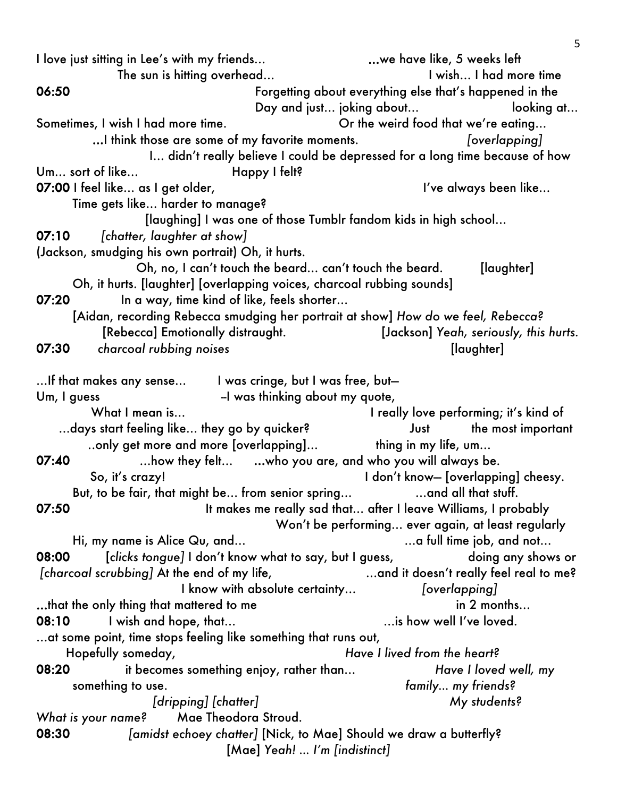I love just sitting in Lee's with my friends… …we have like, 5 weeks left The sun is hitting overhead... I wish... I had more time 06:50 Forgetting about everything else that's happened in the Day and just... joking about... looking at... Sometimes, I wish I had more time.  $\blacksquare$  Or the weird food that we're eating... …I think those are some of my favorite moments. *[overlapping]* I… didn't really believe I could be depressed for a long time because of how Um... sort of like... Happy I felt? 07:00 I feel like... as I get older, I can be always been like... Time gets like… harder to manage? [laughing] I was one of those Tumblr fandom kids in high school… 07:10 *[chatter, laughter at show]* (Jackson, smudging his own portrait) Oh, it hurts. Oh, no, I can't touch the beard... can't touch the beard. [laughter] Oh, it hurts. [laughter] [overlapping voices, charcoal rubbing sounds] 07:20 In a way, time kind of like, feels shorter... [Aidan, recording Rebecca smudging her portrait at show] *How do we feel, Rebecca?* [Rebecca] Emotionally distraught. [Jackson] *Yeah, seriously, this hurts.* 07:30 *charcoal rubbing noises* [laughter] …If that makes any sense… I was cringe, but I was free, but— Um, I guess The Southern Common Common Language -I was thinking about my quote, What I mean is... The summary is a locally love performing; it's kind of ...days start feeling like... they go by quicker? Just the most important ..only get more and more [overlapping]... thing in my life, um... 07:40 …how they felt… …who you are, and who you will always be. So, it's crazy! So, it's crazy! But, to be fair, that might be... from senior spring... **Example 20** ... and all that stuff. 07:50 It makes me really sad that... after I leave Williams, I probably Won't be performing… ever again, at least regularly Hi, my name is Alice Qu, and... example the same set of the same intervals and not... 08:00 [*clicks tongue]* I don't know what to say, but I guess, doing any shows or *[charcoal scrubbing]* At the end of my life, …and it doesn't really feel real to me? I know with absolute certainty… *[overlapping]* …that the only thing that mattered to me in 2 months… 08:10 I wish and hope, that... COME is how well I've loved. …at some point, time stops feeling like something that runs out, Hopefully someday, *Have I lived from the heart?* 08:20 it becomes something enjoy, rather than… *Have I loved well, my*  something to use. *family… my friends? [dripping] [chatter] My students? What is your name?* Mae Theodora Stroud. 08:30 *[amidst echoey chatter]* [Nick, to Mae] Should we draw a butterfly? [Mae] *Yeah! … I'm [indistinct]*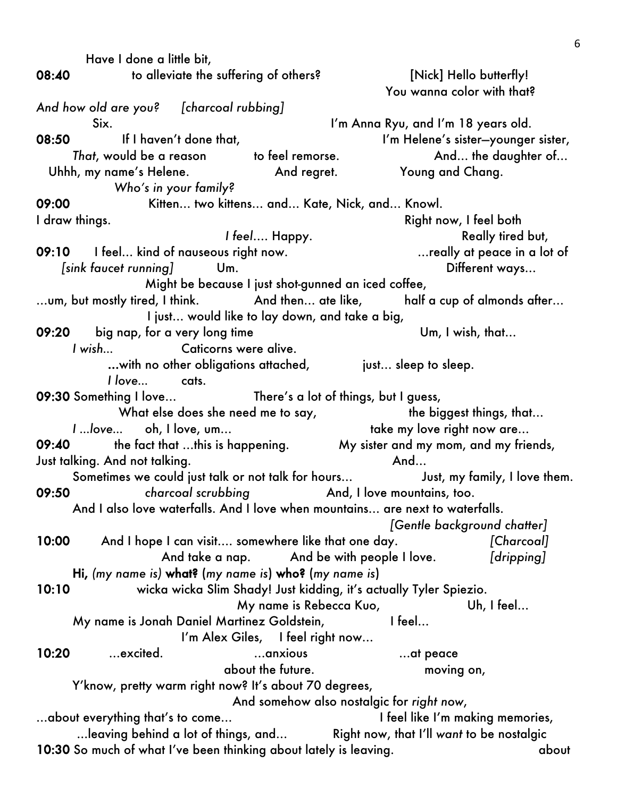Have I done a little bit, 08:40 to alleviate the suffering of others? [Nick] Hello butterfly! You wanna color with that? *And how old are you? [charcoal rubbing]* Six. I'm Anna Ryu, and I'm 18 years old. 08:50 If I haven't done that, I'm Helene's sister-younger sister, *That*, would be a reason to feel remorse. And... the daughter of... Uhhh, my name's Helene. And regret. Young and Chang. *Who's in your family?* 09:00 Kitten… two kittens… and… Kate, Nick, and… Knowl. I draw things. The contract of the contract of the contract of the Right now, I feel both *I* feel.... Happy. Really tired but, 09:10 I feel… kind of nauseous right now. …really at peace in a lot of *[sink faucet running]* Um. Different ways… Might be because I just shot-gunned an iced coffee,  $...,$ um, but mostly tired, I think.  $...$  And then… ate like,  $...$  half a cup of almonds after… I just… would like to lay down, and take a big, 09:20 big nap, for a very long time Um, I wish, that... *I* wish... **Caticorns were alive.** ... with no other obligations attached, interestinguisting sleep to sleep. *I love…* cats. 09:30 Something I love… There's a lot of things, but I guess, What else does she need me to say, the biggest things, that... *I* …love… oh, I love, um… take my love right now are… 09:40 the fact that ...this is happening. My sister and my mom, and my friends, Just talking. And not talking. And… Sometimes we could just talk or not talk for hours... Just, my family, I love them. 09:50 **charcoal scrubbing** And, I love mountains, too. And I also love waterfalls. And I love when mountains… are next to waterfalls. *[Gentle background chatter]* 10:00 And I hope I can visit…. somewhere like that one day. *[Charcoal]* And take a nap. And be with people I love. *[dripping]* Hi, *(my name is)* what? (*my name is*) who? (*my name is*) 10:10 wicka wicka Slim Shady! Just kidding, it's actually Tyler Spiezio. My name is Rebecca Kuo, by name is Rebecca Kuo, My name is Jonah Daniel Martinez Goldstein, I feel... I'm Alex Giles, I feel right now… 10:20 …excited. …anxious …at peace about the future. moving on, Y'know, pretty warm right now? It's about 70 degrees, And somehow also nostalgic for *right now*, …about everything that's to come… I feel like I'm making memories, ...leaving behind a lot of things, and… Right now, that I'll *want* to be nostalgic 10:30 So much of what I've been thinking about lately is leaving. about about about